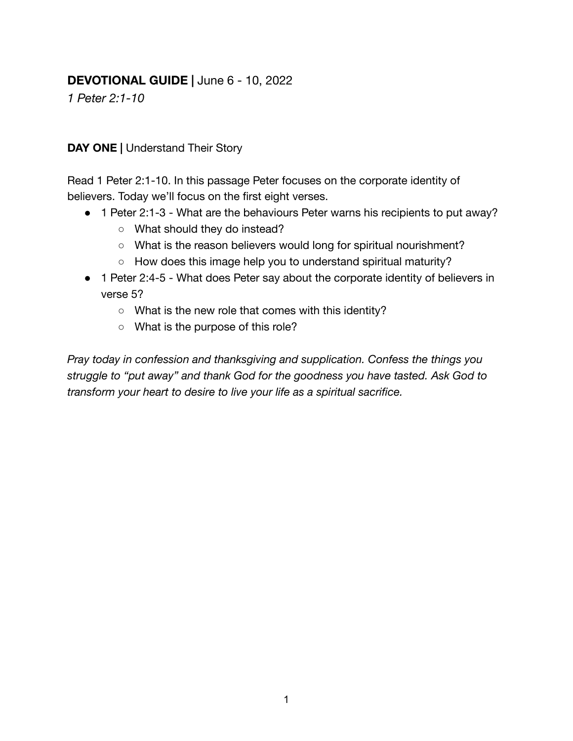# **DEVOTIONAL GUIDE |** June 6 - 10, 2022

*1 Peter 2:1-10*

# **DAY ONE |** Understand Their Story

Read 1 Peter 2:1-10. In this passage Peter focuses on the corporate identity of believers. Today we'll focus on the first eight verses.

- 1 Peter 2:1-3 What are the behaviours Peter warns his recipients to put away?
	- What should they do instead?
	- What is the reason believers would long for spiritual nourishment?
	- How does this image help you to understand spiritual maturity?
- 1 Peter 2:4-5 What does Peter say about the corporate identity of believers in verse 5?
	- What is the new role that comes with this identity?
	- What is the purpose of this role?

*Pray today in confession and thanksgiving and supplication. Confess the things you struggle to "put away" and thank God for the goodness you have tasted. Ask God to transform your heart to desire to live your life as a spiritual sacrifice.*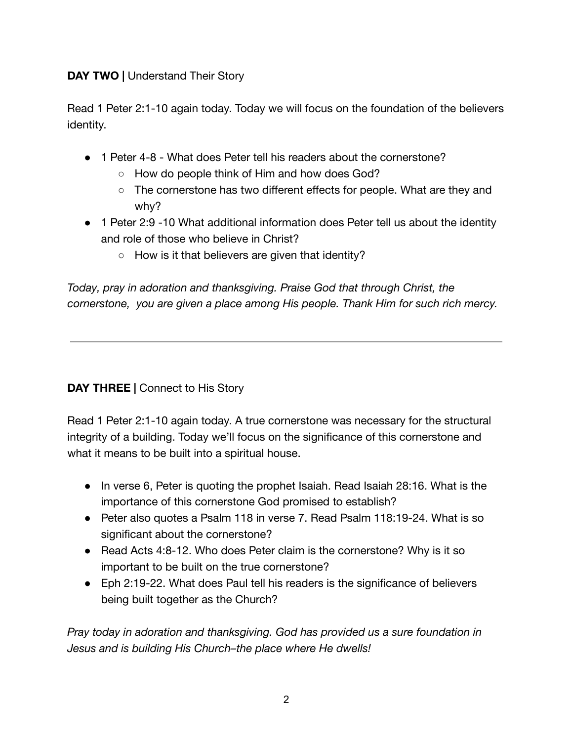# **DAY TWO |** Understand Their Story

Read 1 Peter 2:1-10 again today. Today we will focus on the foundation of the believers identity.

- 1 Peter 4-8 What does Peter tell his readers about the cornerstone?
	- How do people think of Him and how does God?
	- The cornerstone has two different effects for people. What are they and why?
- 1 Peter 2:9 -10 What additional information does Peter tell us about the identity and role of those who believe in Christ?
	- $\circ$  How is it that believers are given that identity?

*Today, pray in adoration and thanksgiving. Praise God that through Christ, the cornerstone, you are given a place among His people. Thank Him for such rich mercy.*

# **DAY THREE |** Connect to His Story

Read 1 Peter 2:1-10 again today. A true cornerstone was necessary for the structural integrity of a building. Today we'll focus on the significance of this cornerstone and what it means to be built into a spiritual house.

- In verse 6, Peter is quoting the prophet Isaiah. Read Isaiah 28:16. What is the importance of this cornerstone God promised to establish?
- Peter also quotes a Psalm 118 in verse 7. Read Psalm 118:19-24. What is so significant about the cornerstone?
- Read Acts 4:8-12. Who does Peter claim is the cornerstone? Why is it so important to be built on the true cornerstone?
- Eph 2:19-22. What does Paul tell his readers is the significance of believers being built together as the Church?

*Pray today in adoration and thanksgiving. God has provided us a sure foundation in Jesus and is building His Church–the place where He dwells!*